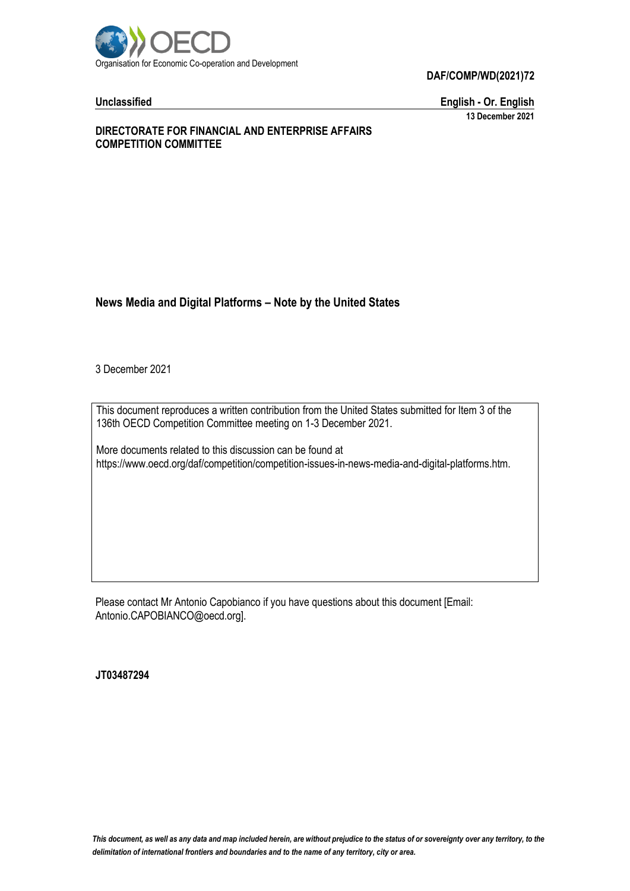

**DAF/COMP/WD(2021)72**

**Unclassified English - Or. English 13 December 2021**

#### **DIRECTORATE FOR FINANCIAL AND ENTERPRISE AFFAIRS COMPETITION COMMITTEE**

# **News Media and Digital Platforms – Note by the United States**

3 December 2021

This document reproduces a written contribution from the United States submitted for Item 3 of the 136th OECD Competition Committee meeting on 1-3 December 2021.

More documents related to this discussion can be found at https://www.oecd.org/daf/competition/competition-issues-in-news-media-and-digital-platforms.htm.

Please contact Mr Antonio Capobianco if you have questions about this document [Email: Antonio.CAPOBIANCO@oecd.org].

**JT03487294**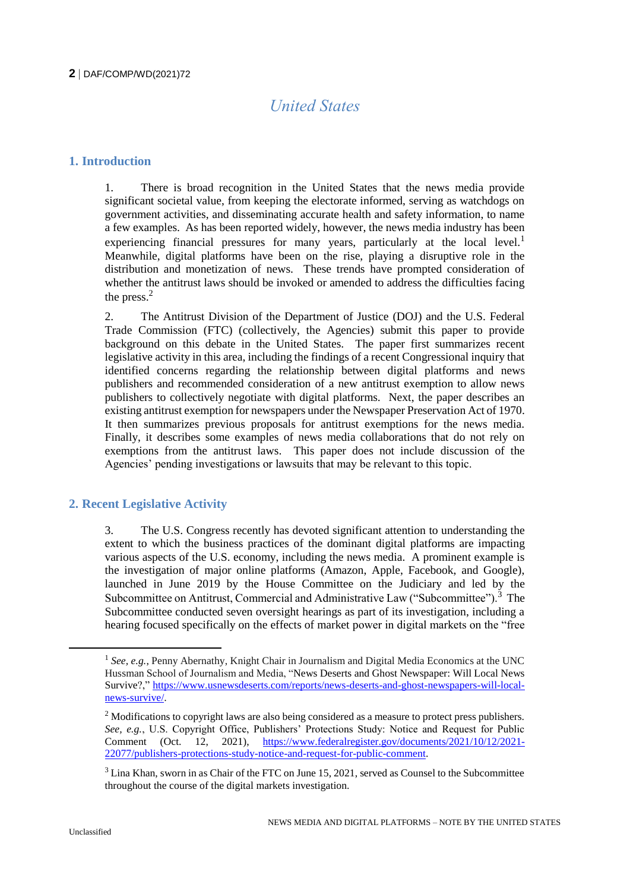# *United States*

### **1. Introduction**

1. There is broad recognition in the United States that the news media provide significant societal value, from keeping the electorate informed, serving as watchdogs on government activities, and disseminating accurate health and safety information, to name a few examples. As has been reported widely, however, the news media industry has been experiencing financial pressures for many years, particularly at the local level.<sup>1</sup> Meanwhile, digital platforms have been on the rise, playing a disruptive role in the distribution and monetization of news. These trends have prompted consideration of whether the antitrust laws should be invoked or amended to address the difficulties facing the press. $2$ 

2. The Antitrust Division of the Department of Justice (DOJ) and the U.S. Federal Trade Commission (FTC) (collectively, the Agencies) submit this paper to provide background on this debate in the United States. The paper first summarizes recent legislative activity in this area, including the findings of a recent Congressional inquiry that identified concerns regarding the relationship between digital platforms and news publishers and recommended consideration of a new antitrust exemption to allow news publishers to collectively negotiate with digital platforms. Next, the paper describes an existing antitrust exemption for newspapers under the Newspaper Preservation Act of 1970. It then summarizes previous proposals for antitrust exemptions for the news media. Finally, it describes some examples of news media collaborations that do not rely on exemptions from the antitrust laws. This paper does not include discussion of the Agencies' pending investigations or lawsuits that may be relevant to this topic.

# **2. Recent Legislative Activity**

3. The U.S. Congress recently has devoted significant attention to understanding the extent to which the business practices of the dominant digital platforms are impacting various aspects of the U.S. economy, including the news media. A prominent example is the investigation of major online platforms (Amazon, Apple, Facebook, and Google), launched in June 2019 by the House Committee on the Judiciary and led by the Subcommittee on Antitrust, Commercial and Administrative Law ("Subcommittee").<sup>3</sup> The Subcommittee conducted seven oversight hearings as part of its investigation, including a hearing focused specifically on the effects of market power in digital markets on the "free

 $\overline{a}$ 

<sup>&</sup>lt;sup>1</sup> See, e.g., Penny Abernathy, Knight Chair in Journalism and Digital Media Economics at the UNC Hussman School of Journalism and Media, "News Deserts and Ghost Newspaper: Will Local News Survive?," [https://www.usnewsdeserts.com/reports/news-deserts-and-ghost-newspapers-will-local](https://www.usnewsdeserts.com/reports/news-deserts-and-ghost-newspapers-will-local-news-survive/)[news-survive/.](https://www.usnewsdeserts.com/reports/news-deserts-and-ghost-newspapers-will-local-news-survive/) 

 $<sup>2</sup>$  Modifications to copyright laws are also being considered as a measure to protect press publishers.</sup> *See, e.g.*, U.S. Copyright Office, Publishers' Protections Study: Notice and Request for Public Comment (Oct. 12, 2021), [https://www.federalregister.gov/documents/2021/10/12/2021-](https://www.federalregister.gov/documents/2021/10/12/2021-22077/publishers-protections-study-notice-and-request-for-public-comment) [22077/publishers-protections-study-notice-and-request-for-public-comment.](https://www.federalregister.gov/documents/2021/10/12/2021-22077/publishers-protections-study-notice-and-request-for-public-comment) 

 $3$  Lina Khan, sworn in as Chair of the FTC on June 15, 2021, served as Counsel to the Subcommittee throughout the course of the digital markets investigation.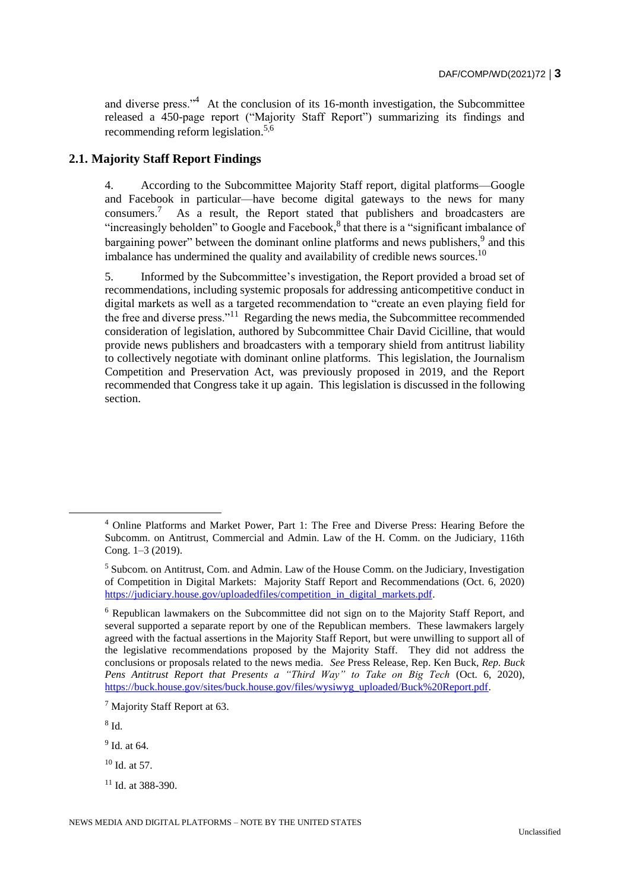and diverse press."<sup>4</sup> At the conclusion of its 16-month investigation, the Subcommittee released a 450-page report ("Majority Staff Report") summarizing its findings and recommending reform legislation.<sup>5,6</sup>

### **2.1. Majority Staff Report Findings**

4. According to the Subcommittee Majority Staff report, digital platforms—Google and Facebook in particular—have become digital gateways to the news for many consumers.<sup>7</sup> As a result, the Report stated that publishers and broadcasters are "increasingly beholden" to Google and Facebook, ${}^{8}$  that there is a "significant imbalance of bargaining power" between the dominant online platforms and news publishers, <sup>9</sup> and this imbalance has undermined the quality and availability of credible news sources.<sup>10</sup>

5. Informed by the Subcommittee's investigation, the Report provided a broad set of recommendations, including systemic proposals for addressing anticompetitive conduct in digital markets as well as a targeted recommendation to "create an even playing field for the free and diverse press."<sup>11</sup> Regarding the news media, the Subcommittee recommended consideration of legislation, authored by Subcommittee Chair David Cicilline, that would provide news publishers and broadcasters with a temporary shield from antitrust liability to collectively negotiate with dominant online platforms. This legislation, the Journalism Competition and Preservation Act, was previously proposed in 2019, and the Report recommended that Congress take it up again. This legislation is discussed in the following section.

8 Id.

 $\overline{a}$ 

<sup>4</sup> Online Platforms and Market Power, Part 1: The Free and Diverse Press: Hearing Before the Subcomm. on Antitrust, Commercial and Admin. Law of the H. Comm. on the Judiciary, 116th Cong. 1–3 (2019).

 $<sup>5</sup>$  Subcom. on Antitrust, Com. and Admin. Law of the House Comm. on the Judiciary, Investigation</sup> of Competition in Digital Markets: Majority Staff Report and Recommendations (Oct. 6, 2020) [https://judiciary.house.gov/uploadedfiles/competition\\_in\\_digital\\_markets.pdf.](https://judiciary.house.gov/uploadedfiles/competition_in_digital_markets.pdf)

<sup>6</sup> Republican lawmakers on the Subcommittee did not sign on to the Majority Staff Report, and several supported a separate report by one of the Republican members. These lawmakers largely agreed with the factual assertions in the Majority Staff Report, but were unwilling to support all of the legislative recommendations proposed by the Majority Staff. They did not address the conclusions or proposals related to the news media. *See* Press Release, Rep. Ken Buck, *Rep. Buck Pens Antitrust Report that Presents a "Third Way" to Take on Big Tech* (Oct. 6, 2020), [https://buck.house.gov/sites/buck.house.gov/files/wysiwyg\\_uploaded/Buck%20Report.pdf.](https://buck.house.gov/sites/buck.house.gov/files/wysiwyg_uploaded/Buck%20Report.pdf)

<sup>7</sup> Majority Staff Report at 63.

<sup>&</sup>lt;sup>9</sup> Id. at 64.

 $10$  Id. at 57.

<sup>11</sup> Id. at 388-390.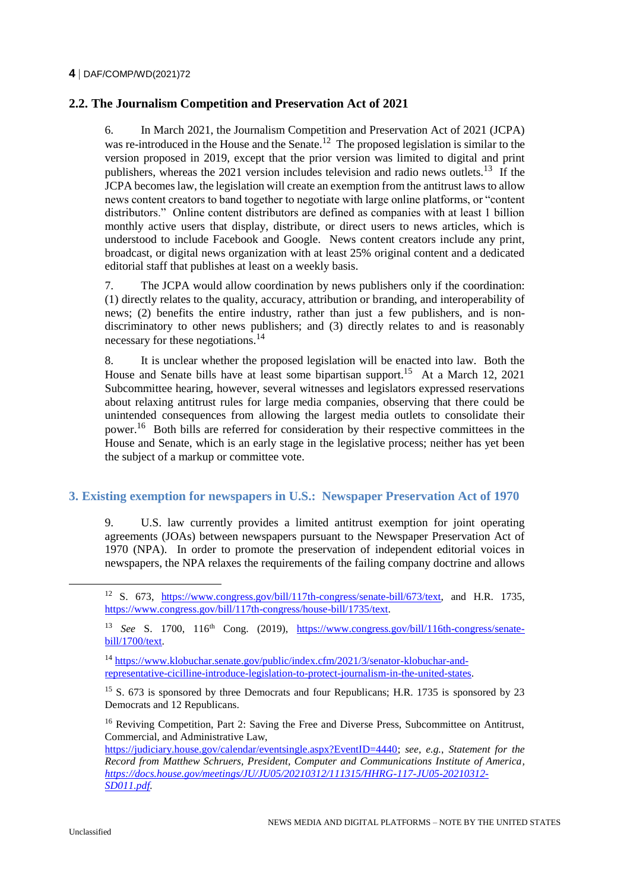### **2.2. The Journalism Competition and Preservation Act of 2021**

6. In March 2021, the Journalism Competition and Preservation Act of 2021 (JCPA) was re-introduced in the House and the Senate.<sup>12</sup> The proposed legislation is similar to the version proposed in 2019, except that the prior version was limited to digital and print publishers, whereas the 2021 version includes television and radio news outlets.<sup>13</sup> If the JCPA becomes law, the legislation will create an exemption from the antitrust laws to allow news content creators to band together to negotiate with large online platforms, or "content distributors." Online content distributors are defined as companies with at least 1 billion monthly active users that display, distribute, or direct users to news articles, which is understood to include Facebook and Google. News content creators include any print, broadcast, or digital news organization with at least 25% original content and a dedicated editorial staff that publishes at least on a weekly basis.

7. The JCPA would allow coordination by news publishers only if the coordination: (1) directly relates to the quality, accuracy, attribution or branding, and interoperability of news; (2) benefits the entire industry, rather than just a few publishers, and is nondiscriminatory to other news publishers; and (3) directly relates to and is reasonably necessary for these negotiations.<sup>14</sup>

8. It is unclear whether the proposed legislation will be enacted into law. Both the House and Senate bills have at least some bipartisan support.<sup>15</sup> At a March 12, 2021 Subcommittee hearing, however, several witnesses and legislators expressed reservations about relaxing antitrust rules for large media companies, observing that there could be unintended consequences from allowing the largest media outlets to consolidate their power.<sup>16</sup> Both bills are referred for consideration by their respective committees in the House and Senate, which is an early stage in the legislative process; neither has yet been the subject of a markup or committee vote.

#### **3. Existing exemption for newspapers in U.S.: Newspaper Preservation Act of 1970**

9. U.S. law currently provides a limited antitrust exemption for joint operating agreements (JOAs) between newspapers pursuant to the Newspaper Preservation Act of 1970 (NPA). In order to promote the preservation of independent editorial voices in newspapers, the NPA relaxes the requirements of the failing company doctrine and allows

 $\overline{a}$ 

<sup>&</sup>lt;sup>12</sup> S. 673, [https://www.congress.gov/bill/117th-congress/senate-bill/673/text,](https://www.congress.gov/bill/117th-congress/senate-bill/673/text) and H.R. 1735, [https://www.congress.gov/bill/117th-congress/house-bill/1735/text.](https://www.congress.gov/bill/117th-congress/house-bill/1735/text)

<sup>13</sup> *See* S. 1700, 116th Cong. (2019), [https://www.congress.gov/bill/116th-congress/senate](https://www.congress.gov/bill/116th-congress/senate-bill/1700/text)[bill/1700/text.](https://www.congress.gov/bill/116th-congress/senate-bill/1700/text)

<sup>14</sup> [https://www.klobuchar.senate.gov/public/index.cfm/2021/3/senator-klobuchar-and](https://www.klobuchar.senate.gov/public/index.cfm/2021/3/senator-klobuchar-and-representative-cicilline-introduce-legislation-to-protect-journalism-in-the-united-states)[representative-cicilline-introduce-legislation-to-protect-journalism-in-the-united-states.](https://www.klobuchar.senate.gov/public/index.cfm/2021/3/senator-klobuchar-and-representative-cicilline-introduce-legislation-to-protect-journalism-in-the-united-states)

<sup>&</sup>lt;sup>15</sup> S. 673 is sponsored by three Democrats and four Republicans; H.R. 1735 is sponsored by 23 Democrats and 12 Republicans.

<sup>&</sup>lt;sup>16</sup> Reviving Competition, Part 2: Saving the Free and Diverse Press, Subcommittee on Antitrust, Commercial, and Administrative Law,

[https://judiciary.house.gov/calendar/eventsingle.aspx?EventID=4440;](https://judiciary.house.gov/calendar/eventsingle.aspx?EventID=4440) *see, e.g.*, *Statement for the Record from Matthew Schruers, President, Computer and Communications Institute of America, [https://docs.house.gov/meetings/JU/JU05/20210312/111315/HHRG-117-JU05-20210312-](https://docs.house.gov/meetings/JU/JU05/20210312/111315/HHRG-117-JU05-20210312-SD011.pdf) [SD011.pdf.](https://docs.house.gov/meetings/JU/JU05/20210312/111315/HHRG-117-JU05-20210312-SD011.pdf)*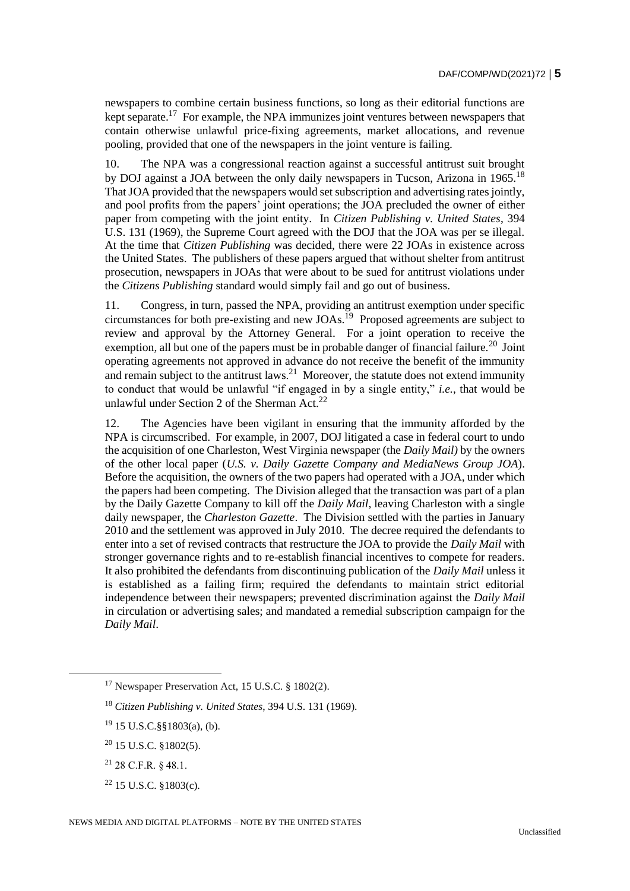newspapers to combine certain business functions, so long as their editorial functions are kept separate.<sup>17</sup> For example, the NPA immunizes joint ventures between newspapers that contain otherwise unlawful price-fixing agreements, market allocations, and revenue pooling, provided that one of the newspapers in the joint venture is failing.

10. The NPA was a congressional reaction against a successful antitrust suit brought by DOJ against a JOA between the only daily newspapers in Tucson, Arizona in 1965.<sup>18</sup> That JOA provided that the newspapers would set subscription and advertising rates jointly, and pool profits from the papers' joint operations; the JOA precluded the owner of either paper from competing with the joint entity. In *Citizen Publishing v. United States*, 394 U.S. 131 (1969), the Supreme Court agreed with the DOJ that the JOA was per se illegal. At the time that *Citizen Publishing* was decided, there were 22 JOAs in existence across the United States. The publishers of these papers argued that without shelter from antitrust prosecution, newspapers in JOAs that were about to be sued for antitrust violations under the *Citizens Publishing* standard would simply fail and go out of business.

11. Congress, in turn, passed the NPA, providing an antitrust exemption under specific circumstances for both pre-existing and new JOAs.<sup>19</sup> Proposed agreements are subject to review and approval by the Attorney General. For a joint operation to receive the exemption, all but one of the papers must be in probable danger of financial failure.<sup>20</sup> Joint operating agreements not approved in advance do not receive the benefit of the immunity and remain subject to the antitrust laws.<sup>21</sup> Moreover, the statute does not extend immunity to conduct that would be unlawful "if engaged in by a single entity," *i.e.*, that would be unlawful under Section 2 of the Sherman Act.<sup>22</sup>

12. The Agencies have been vigilant in ensuring that the immunity afforded by the NPA is circumscribed. For example, in 2007, DOJ litigated a case in federal court to undo the acquisition of one Charleston, West Virginia newspaper (the *Daily Mail)* by the owners of the other local paper (*U.S. v. Daily Gazette Company and MediaNews Group JOA*). Before the acquisition, the owners of the two papers had operated with a JOA, under which the papers had been competing. The Division alleged that the transaction was part of a plan by the Daily Gazette Company to kill off the *Daily Mail*, leaving Charleston with a single daily newspaper, the *Charleston Gazette*. The Division settled with the parties in January 2010 and the settlement was approved in July 2010. The decree required the defendants to enter into a set of revised contracts that restructure the JOA to provide the *Daily Mail* with stronger governance rights and to re-establish financial incentives to compete for readers. It also prohibited the defendants from discontinuing publication of the *Daily Mail* unless it is established as a failing firm; required the defendants to maintain strict editorial independence between their newspapers; prevented discrimination against the *Daily Mail*  in circulation or advertising sales; and mandated a remedial subscription campaign for the *Daily Mail*.

 $21$  28 C.F.R. § 48.1.

 $^{22}$  15 U.S.C.  $$1803(c)$ .

<sup>17</sup> Newspaper Preservation Act, 15 U.S.C. § 1802(2).

<sup>18</sup> *Citizen Publishing v. United States*, 394 U.S. 131 (1969).

<sup>19</sup> 15 U.S.C.§§1803(a), (b).

<sup>20</sup> 15 U.S.C. §1802(5).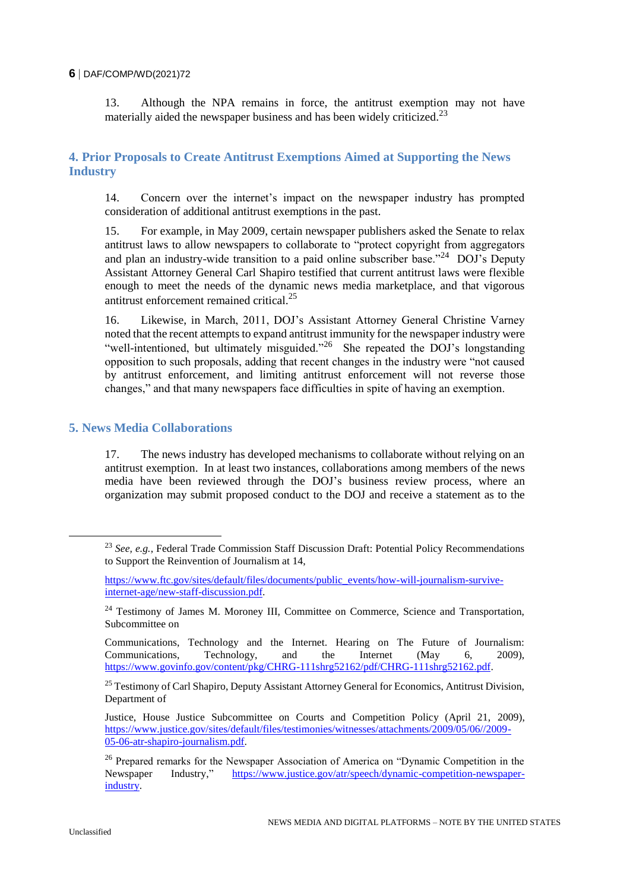#### **6** DAF/COMP/WD(2021)72

13. Although the NPA remains in force, the antitrust exemption may not have materially aided the newspaper business and has been widely criticized.<sup>23</sup>

# **4. Prior Proposals to Create Antitrust Exemptions Aimed at Supporting the News Industry**

14. Concern over the internet's impact on the newspaper industry has prompted consideration of additional antitrust exemptions in the past.

15. For example, in May 2009, certain newspaper publishers asked the Senate to relax antitrust laws to allow newspapers to collaborate to "protect copyright from aggregators and plan an industry-wide transition to a paid online subscriber base."<sup>24</sup> DOJ's Deputy Assistant Attorney General Carl Shapiro testified that current antitrust laws were flexible enough to meet the needs of the dynamic news media marketplace, and that vigorous antitrust enforcement remained critical<sup>25</sup>

16. Likewise, in March, 2011, DOJ's Assistant Attorney General Christine Varney noted that the recent attempts to expand antitrust immunity for the newspaper industry were "well-intentioned, but ultimately misguided."<sup>26</sup> She repeated the DOJ's longstanding opposition to such proposals, adding that recent changes in the industry were "not caused by antitrust enforcement, and limiting antitrust enforcement will not reverse those changes," and that many newspapers face difficulties in spite of having an exemption.

#### **5. News Media Collaborations**

17. The news industry has developed mechanisms to collaborate without relying on an antitrust exemption. In at least two instances, collaborations among members of the news media have been reviewed through the DOJ's business review process, where an organization may submit proposed conduct to the DOJ and receive a statement as to the

<sup>23</sup> *See, e.g.*, Federal Trade Commission Staff Discussion Draft: Potential Policy Recommendations to Support the Reinvention of Journalism at 14,

[https://www.ftc.gov/sites/default/files/documents/public\\_events/how-will-journalism-survive](https://www.ftc.gov/sites/default/files/documents/public_events/how-will-journalism-survive-internet-age/new-staff-discussion.pdf)[internet-age/new-staff-discussion.pdf.](https://www.ftc.gov/sites/default/files/documents/public_events/how-will-journalism-survive-internet-age/new-staff-discussion.pdf) 

<sup>&</sup>lt;sup>24</sup> Testimony of James M. Moroney III, Committee on Commerce, Science and Transportation, Subcommittee on

Communications, Technology and the Internet. Hearing on The Future of Journalism: Communications, Technology, and the Internet (May 6, 2009), [https://www.govinfo.gov/content/pkg/CHRG-111shrg52162/pdf/CHRG-111shrg52162.pdf.](https://www.govinfo.gov/content/pkg/CHRG-111shrg52162/pdf/CHRG-111shrg52162.pdf)

<sup>&</sup>lt;sup>25</sup> Testimony of Carl Shapiro, Deputy Assistant Attorney General for Economics, Antitrust Division, Department of

Justice, House Justice Subcommittee on Courts and Competition Policy (April 21, 2009), [https://www.justice.gov/sites/default/files/testimonies/witnesses/attachments/2009/05/06//2009-](https://www.justice.gov/sites/default/files/testimonies/witnesses/attachments/2009/05/06/2009-05-06-atr-shapiro-journalism.pdf) [05-06-atr-shapiro-journalism.pdf.](https://www.justice.gov/sites/default/files/testimonies/witnesses/attachments/2009/05/06/2009-05-06-atr-shapiro-journalism.pdf)

<sup>&</sup>lt;sup>26</sup> Prepared remarks for the Newspaper Association of America on "Dynamic Competition in the Newspaper Industry," [https://www.justice.gov/atr/speech/dynamic-competition-newspaper](https://www.justice.gov/atr/speech/dynamic-competition-newspaper-industry)[industry.](https://www.justice.gov/atr/speech/dynamic-competition-newspaper-industry)